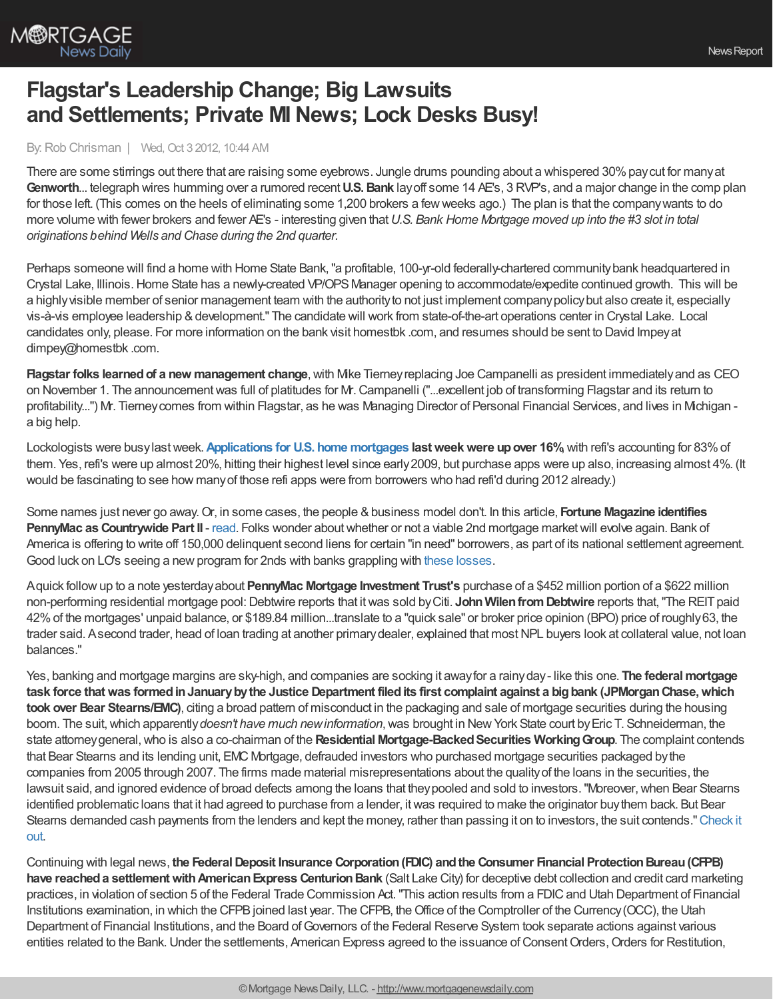

## **Flagstar's Leadership Change; Big Lawsuits and Settlements; Private MI News; Lock Desks Busy!**

## By:Rob Chrisman | Wed, Oct 3 2012, 10:44 AM

There are some stirrings out there that are raising some eyebrows. Jungle drums pounding about a whispered 30% pay cut for many at **Genworth**... telegraph wires humming over a rumored recent**U.S.Bank** layoff some 14 AE's, 3 RVP's, and a major change in the comp plan for those left. (This comes on the heels of eliminating some 1,200 brokers a fewweeks ago.) The plan is that the companywants to do more volume with fewer brokers and fewer AE's - interesting given that*U.S. Bank Home Mortgage moved up into the #3 slot in total originations behind Wells and Chase during the 2nd quarter.*

Perhaps someone will find a home with Home State Bank, "a profitable, 100-yr-old federally-chartered community bank headquartered in Crystal Lake, Illinois. Home State has a newly-created VP/OPS Manager opening to accommodate/expedite continued growth. This will be a highly visible member of senior management team with the authority to not just implement company policy but also create it, especially vis-à-vis employee leadership & development." The candidate will work from state-of-the-art operations center in Crystal Lake. Local candidates only, please. For more information on the bank visit homestbk .com, and resumes should be sent to David Impeyat dimpey@homestbk .com.

**Flagstar folks learned of a new management change, with Mike Tierney replacing Joe Campanelli as president immediately and as CEO** on November 1. The announcementwas full of platitudes for Mr.Campanelli ("...excellent job of transforming Flagstar and its return to profitability...") Mr. Tierney comes from within Flagstar, as he was Managing Director of Personal Financial Services, and lives in Michigan a big help.

Lockologists were busylastweek.**[Applications](http://www.mortgagenewsdaily.com/10032012_applications_volume.asp) for U.S. home mortgages lastweekwere upover 16%**,with refi's accounting for 83%of them. Yes, refi's were up almost 20%, hitting their highest level since early2009, but purchase apps were up also, increasing almost 4%. (It would be fascinating to see how manyof those refi apps were from borrowers who had refi'd during 2012 already.)

Some names just never go away.Or, in some cases, the people &business model don't. In this article, **Fortune Magazine identifies PennyMac as Countrywide Part II** - [read.](http://finance.fortune.cnn.com/2012/10/02/countrywide-is-back-pennymac/?iid=HP_LN) Folks wonder about whether or not a viable 2nd mortgage market will evolve again. Bank of America is offering to write off 150,000 delinquent second liens for certain "in need" borrowers, as part of its national settlement agreement. Good luck on LO's seeing a new program for 2nds with banks grappling with these [losses](http://www.pe.com/business/business-headlines/20121001-real-estate-bofa-extinguishes-2nd-lien-debt.ece).

Aquick followup to a note yesterdayabout **PennyMac Mortgage Investment Trust's** purchase of a \$452 million portion of a \$622 million non-performing residential mortgage pool:Debtwire reports that itwas sold byCiti. **JohnWilenfromDebtwire** reports that,"The REITpaid 42%of the mortgages' unpaid balance, or \$189.84 million...translate to a "quick sale" or broker price opinion (BPO) price of roughly63, the trader said. Asecond trader, head of loan trading at another primarydealer, explained that mostNPL buyers look at collateral value, not loan balances."

Yes, banking and mortgage margins are sky-high, and companies are socking it awayfor a rainyday- like this one. **The federalmortgage task force thatwas formedinJanuarybythe Justice Department filedits first complaint against a bigbank (JPMorganChase,which took over Bear Stearns/EMC)**, citing a broad pattern of misconduct in the packaging and sale of mortgage securities during the housing boom. The suit,which apparently*doesn't have much newinformation*,was brought in NewYork State court byEric T. Schneiderman, the state attorneygeneral,who is also a co-chairman of the **Residential Mortgage-BackedSecurities WorkingGroup**. The complaint contends that Bear Stearns and its lending unit, EMC Mortgage, defrauded investors who purchased mortgage securities packaged bythe companies from 2005 through 2007. The firms made material misrepresentations about the qualityof the loans in the securities, the lawsuit said, and ignored evidence of broad defects among the loans that theypooled and sold to investors."Moreover,when Bear Stearns identified problematic loans that it had agreed to purchase from a lender, itwas required to make the originator buythem back. But Bear Stearns demanded cash payments from the lenders and kept the money, rather than passing it on to investors, the suit [contends."Check](http://www.nytimes.com/2012/10/02/business/suit-accuses-jpmorgan-unit-of-broad-misconduct-on-mortgage-securities.html?_r=1&) it out.

Continuing with legal news, **the FederalDeposit Insurance Corporation(FDIC) andthe Consumer Financial ProtectionBureau(CFPB) have reached a settlement with American Express Centurion Bank (Salt Lake City) for deceptive debt collection and credit card marketing** practices, in violation of section 5 of the Federal Trade Commission Act. "This action results from a FDIC and Utah Department of Financial Institutions examination, in which the CFPB joined last year. The CFPB, the Office of the Comptroller of the Currency (OCC), the Utah Department of Financial Institutions, and the Board of Governors of the Federal Reserve System took separate actions against various entities related to the Bank. Under the settlements, American Express agreed to the issuance of Consent Orders, Orders for Restitution,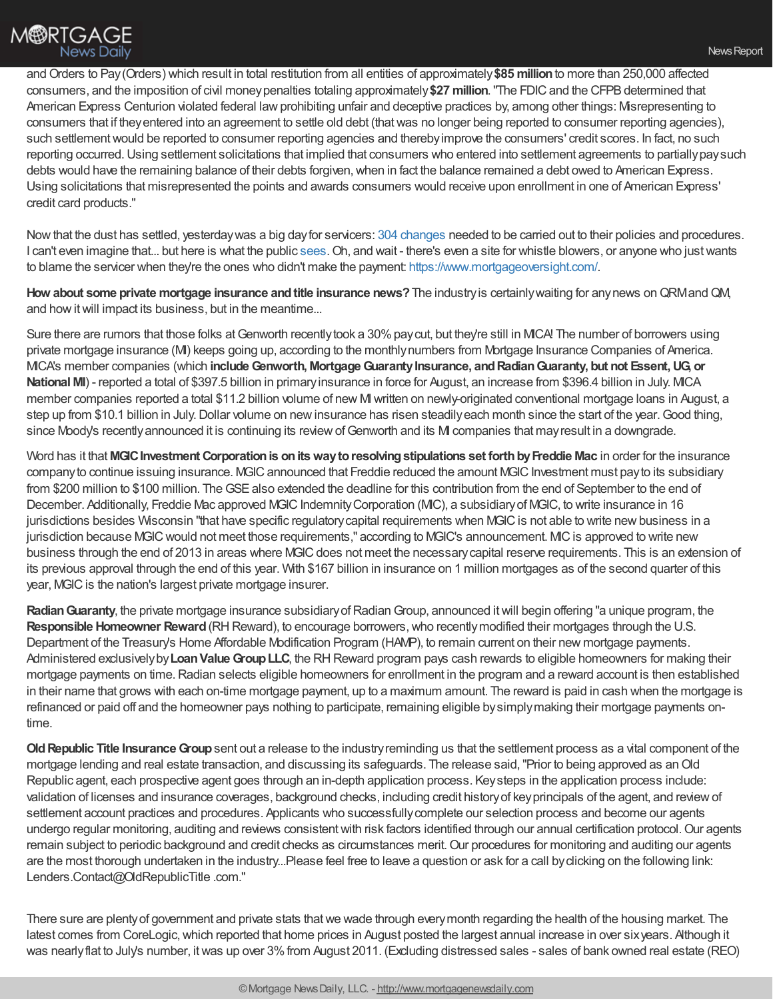and Orders to Pay (Orders) which result in total restitution from all entities of approximately \$85 million to more than 250,000 affected consumers, and the imposition of civil moneypenalties totaling approximately**\$27 million**."The FDICand the CFPBdetermined that American Express Centurion violated federal law prohibiting unfair and deceptive practices by, among other things: Misrepresenting to consumers that if theyentered into an agreement to settle old debt (thatwas no longer being reported to consumer reporting agencies), such settlement would be reported to consumer reporting agencies and thereby improve the consumers' credit scores. In fact, no such reporting occurred. Using settlement solicitations that implied that consumers who entered into settlement agreements to partially pay such debts would have the remaining balance of their debts forgiven, when in fact the balance remained a debt owed to American Express. Using solicitations that misrepresented the points and awards consumers would receive upon enrollment in one of American Express' credit card products."

Nowthat the dust has settled, yesterdaywas a big dayfor servicers: 304 [changes](http://www.mortgagenewsdaily.com/10022012_ag_servicer_settlement.asp) needed to be carried out to their policies and procedures. I can't even imagine that... but here is what the public [sees.](http://www.washingtonpost.com/business/economy/changes-in-mortgage-servicing-to-take-effect/2012/10/01/13b02ada-0bde-11e2-bb5e-492c0d30bff6_story.html) Oh, and wait - there's even a site for whistle blowers, or anyone who just wants to blame the servicer when they're the ones who didn't make the payment: <https://www.mortgageoversight.com/>.

**How about some private mortgage insurance andtitle insurance news?**The industryis certainlywaiting for anynews onQRMandQM, and how it will impact its business, but in the meantime...

Sure there are rumors that those folks at Genworth recently took a 30% pay cut, but they're still in MICA! The number of borrowers using private mortgage insurance (M) keeps going up, according to the monthly numbers from Mortgage Insurance Companies of America. MICA's member companies (which **includeGenworth, MortgageGuarantyInsurance, andRadianGuaranty, but not Essent,UG, or National MI**) - reported a total of \$397.5 billion in primary insurance in force for August, an increase from \$396.4 billion in July. MCA member companies reported a total \$11.2 billion volume of new MI written on newly-originated conventional mortgage loans in August, a step up from \$10.1 billion in July. Dollar volume on new insurance has risen steadily each month since the start of the year. Good thing, since Moody's recently announced it is continuing its review of Genworth and its MI companies that may result in a downgrade.

Word has it that **MGICInvestment Corporationis onitswaytoresolvingstipulations set forthbyFreddie Mac** in order for the insurance company to continue issuing insurance. MGIC announced that Freddie reduced the amount MGIC Investment must pay to its subsidiary from \$200 million to \$100 million. The GSE also extended the deadline for this contribution from the end of September to the end of December. Additionally, Freddie Mac approved MGIC Indemnity Corporation (MIC), a subsidiary of MGIC, to write insurance in 16 jurisdictions besides Wisconsin "that have specific regulatory capital requirements when MGIC is not able to write new business in a jurisdiction because MGIC would not meet those requirements," according to MGIC's announcement. MIC is approved to write new business through the end of 2013 in areas where MGIC does not meet the necessary capital reserve requirements. This is an extension of its previous approval through the end of this year. With \$167 billion in insurance on 1 million mortgages as of the second quarter of this year, MGIC is the nation's largest private mortgage insurer.

Radian Guaranty, the private mortgage insurance subsidiary of Radian Group, announced it will begin offering "a unique program, the **Responsible Homeowner Reward** (RH Reward), to encourage borrowers, who recently modified their mortgages through the U.S. Department of the Treasury's Home Affordable Modification Program (HAMP), to remain current on their new mortgage payments. Administered exclusively by Loan Value Group LLC, the RH Reward program pays cash rewards to eligible homeowners for making their mortgage payments on time. Radian selects eligible homeowners for enrollment in the program and a reward account is then established in their name that grows with each on-time mortgage payment, up to a maximum amount. The reward is paid in cash when the mortgage is refinanced or paid off and the homeowner pays nothing to participate, remaining eligible bysimplymaking their mortgage payments ontime.

**Old Republic Title Insurance Group** sent out a release to the industry reminding us that the settlement process as a vital component of the mortgage lending and real estate transaction, and discussing its safeguards. The release said,"Prior to being approved as anOld Republic agent, each prospective agent goes through an in-depth application process. Keysteps in the application process include: validation of licenses and insurance coverages, background checks, including credit historyof keyprincipals of the agent, and reviewof settlement account practices and procedures. Applicants who successfully complete our selection process and become our agents undergo regular monitoring, auditing and reviews consistent with risk factors identified through our annual certification protocol. Our agents remain subject to periodic background and credit checks as circumstances merit. Our procedures for monitoring and auditing our agents are the most thorough undertaken in the industry...Please feel free to leave a question or ask for a call byclicking on the following link: Lenders.Contact@OldRepublicTitle.com."

There sure are plentyof government and private stats thatwe wade through everymonth regarding the health of the housing market. The latest comes from CoreLogic, which reported that home prices in August posted the largest annual increase in over six years. Although it was nearly flat to July's number, it was up over 3% from August 2011. (Excluding distressed sales - sales of bank owned real estate (REO)